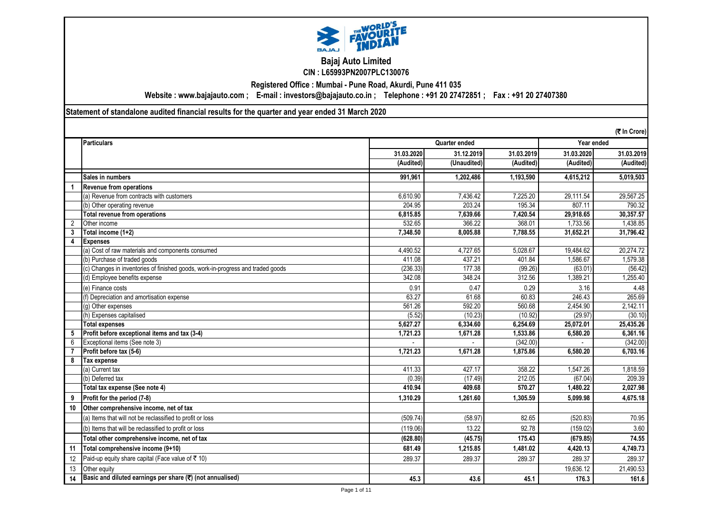

## **Bajaj Auto Limited CIN : L65993PN2007PLC130076**

**Registered Office : Mumbai - Pune Road, Akurdi, Pune 411 035**

**Website : www.bajajauto.com ; E-mail : investors@bajajauto.co.in ; Telephone : +91 20 27472851 ; Fax : +91 20 27407380**

**Statement of standalone audited financial results for the quarter and year ended 31 March 2020**

|                | (₹ In Crore)                                                                    |            |               |            |            |            |  |
|----------------|---------------------------------------------------------------------------------|------------|---------------|------------|------------|------------|--|
|                | <b>Particulars</b>                                                              |            | Quarter ended |            |            | Year ended |  |
|                |                                                                                 | 31.03.2020 | 31.12.2019    | 31.03.2019 | 31.03.2020 | 31.03.2019 |  |
|                |                                                                                 | (Audited)  | (Unaudited)   | (Audited)  | (Audited)  | (Audited)  |  |
|                | Sales in numbers                                                                | 991,961    | 1,202,486     | 1,193,590  | 4,615,212  | 5,019,503  |  |
|                | <b>Revenue from operations</b>                                                  |            |               |            |            |            |  |
|                | (a) Revenue from contracts with customers                                       | 6,610.90   | 7,436.42      | 7,225.20   | 29,111.54  | 29,567.25  |  |
|                | (b) Other operating revenue                                                     | 204.95     | 203.24        | 195.34     | 807.11     | 790.32     |  |
|                | Total revenue from operations                                                   | 6,815.85   | 7,639.66      | 7,420.54   | 29,918.65  | 30,357.57  |  |
| $\overline{2}$ | Other income                                                                    | 532.65     | 366.22        | 368.01     | 1,733.56   | 1,438.85   |  |
| 3              | Total income (1+2)                                                              | 7,348.50   | 8,005.88      | 7,788.55   | 31,652.21  | 31,796.42  |  |
| 4              | <b>Expenses</b>                                                                 |            |               |            |            |            |  |
|                | (a) Cost of raw materials and components consumed                               | 4,490.52   | 4,727.65      | 5.028.67   | 19,484.62  | 20,274.72  |  |
|                | (b) Purchase of traded goods                                                    | 411.08     | 437.21        | 401.84     | 1.586.67   | 1.579.38   |  |
|                | (c) Changes in inventories of finished goods, work-in-progress and traded goods | (236.33)   | 177.38        | (99.26)    | (63.01)    | (56.42)    |  |
|                | (d) Employee benefits expense                                                   | 342.08     | 348.24        | 312.56     | 1.389.21   | 1.255.40   |  |
|                | (e) Finance costs                                                               | 0.91       | 0.47          | 0.29       | 3.16       | 4.48       |  |
|                | (f) Depreciation and amortisation expense                                       | 63.27      | 61.68         | 60.83      | 246.43     | 265.69     |  |
|                | (g) Other expenses                                                              | 561.26     | 592.20        | 560.68     | 2,454.90   | 2,142.11   |  |
|                | (h) Expenses capitalised                                                        | (5.52)     | (10.23)       | (10.92)    | (29.97)    | (30.10)    |  |
|                | <b>Total expenses</b>                                                           | 5,627.27   | 6,334.60      | 6,254.69   | 25,072.01  | 25,435.26  |  |
| 5              | Profit before exceptional items and tax (3-4)                                   | 1,721.23   | 1,671.28      | 1,533.86   | 6,580.20   | 6,361.16   |  |
| 6              | Exceptional items (See note 3)                                                  |            |               | (342.00)   |            | (342.00)   |  |
|                | Profit before tax (5-6)                                                         | 1,721.23   | 1,671.28      | 1,875.86   | 6,580.20   | 6,703.16   |  |
| 8              | Tax expense                                                                     |            |               |            |            |            |  |
|                | (a) Current tax                                                                 | 411.33     | 427.17        | 358.22     | 1,547.26   | 1,818.59   |  |
|                | (b) Deferred tax                                                                | (0.39)     | (17.49)       | 212.05     | (67.04)    | 209.39     |  |
|                | Total tax expense (See note 4)                                                  | 410.94     | 409.68        | 570.27     | 1,480.22   | 2,027.98   |  |
| 9              | Profit for the period (7-8)                                                     | 1.310.29   | 1.261.60      | 1,305.59   | 5.099.98   | 4,675.18   |  |
| 10             | Other comprehensive income, net of tax                                          |            |               |            |            |            |  |
|                | (a) Items that will not be reclassified to profit or loss                       | (509.74)   | (58.97)       | 82.65      | (520.83)   | 70.95      |  |
|                | (b) Items that will be reclassified to profit or loss                           | (119.06)   | 13.22         | 92.78      | (159.02)   | 3.60       |  |
|                | Total other comprehensive income, net of tax                                    | (628.80)   | (45.75)       | 175.43     | (679.85)   | 74.55      |  |
| 11             | Total comprehensive income (9+10)                                               | 681.49     | 1,215.85      | 1,481.02   | 4.420.13   | 4,749.73   |  |
| 12             | Paid-up equity share capital (Face value of ₹ 10)                               | 289.37     | 289.37        | 289.37     | 289.37     | 289.37     |  |
| 13             | Other equity                                                                    |            |               |            | 19,636.12  | 21,490.53  |  |
| 14             | Basic and diluted earnings per share $(\overline{\mathbf{x}})$ (not annualised) | 45.3       | 43.6          | 45.1       | 176.3      | 161.6      |  |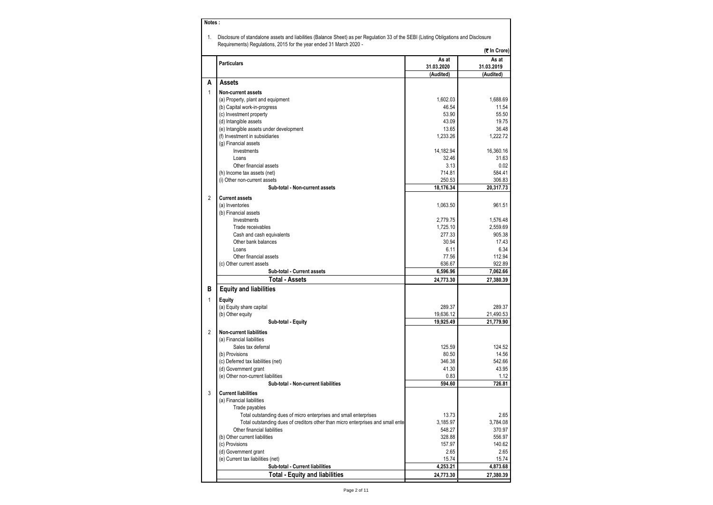| Notes:         |                                                                                                                                                                                                            |                     |                     |
|----------------|------------------------------------------------------------------------------------------------------------------------------------------------------------------------------------------------------------|---------------------|---------------------|
| 1.             | Disclosure of standalone assets and liabilities (Balance Sheet) as per Regulation 33 of the SEBI (Listing Obligations and Disclosure<br>Requirements) Regulations, 2015 for the year ended 31 March 2020 - |                     |                     |
|                |                                                                                                                                                                                                            |                     | (₹ In Crore)        |
|                | <b>Particulars</b>                                                                                                                                                                                         | As at<br>31.03.2020 | As at<br>31.03.2019 |
|                |                                                                                                                                                                                                            | (Audited)           | (Audited)           |
| Α              | Assets                                                                                                                                                                                                     |                     |                     |
| 1              | Non-current assets                                                                                                                                                                                         |                     |                     |
|                | (a) Property, plant and equipment                                                                                                                                                                          | 1,602.03            | 1,688.69            |
|                | (b) Capital work-in-progress                                                                                                                                                                               | 46.54               | 11.54               |
|                | (c) Investment property                                                                                                                                                                                    | 53.90               | 55.50               |
|                | (d) Intangible assets                                                                                                                                                                                      | 43.09               | 19.75               |
|                | (e) Intangible assets under development                                                                                                                                                                    | 13.65               | 36.48               |
|                | (f) Investment in subsidiaries                                                                                                                                                                             | 1,233.26            | 1,222.72            |
|                | (g) Financial assets                                                                                                                                                                                       |                     |                     |
|                | Investments                                                                                                                                                                                                | 14,182.94           | 16,360.16           |
|                | Loans                                                                                                                                                                                                      | 32.46               | 31.63               |
|                | Other financial assets                                                                                                                                                                                     | 3.13                | 0.02                |
|                | (h) Income tax assets (net)                                                                                                                                                                                | 714.81              | 584.41              |
|                | (i) Other non-current assets                                                                                                                                                                               | 250.53              | 306.83              |
|                | Sub-total - Non-current assets                                                                                                                                                                             | 18,176.34           | 20,317.73           |
| $\overline{2}$ | <b>Current assets</b>                                                                                                                                                                                      |                     |                     |
|                | (a) Inventories                                                                                                                                                                                            | 1.063.50            | 961.51              |
|                | (b) Financial assets                                                                                                                                                                                       |                     |                     |
|                | Investments                                                                                                                                                                                                | 2,779.75            | 1,576.48            |
|                | Trade receivables                                                                                                                                                                                          | 1,725.10            | 2.559.69            |
|                | Cash and cash equivalents                                                                                                                                                                                  | 277.33              | 905.38              |
|                | Other bank balances                                                                                                                                                                                        | 30.94               | 17.43               |
|                | Loans                                                                                                                                                                                                      | 6.11                | 6.34                |
|                | Other financial assets<br>(c) Other current assets                                                                                                                                                         | 77.56<br>636.67     | 112.94              |
|                | Sub-total - Current assets                                                                                                                                                                                 | 6,596.96            | 922.89<br>7,062.66  |
|                | <b>Total - Assets</b>                                                                                                                                                                                      | 24,773.30           | 27,380.39           |
| в              | <b>Equity and liabilities</b>                                                                                                                                                                              |                     |                     |
| $\mathbf{1}$   | Equity                                                                                                                                                                                                     |                     |                     |
|                | (a) Equity share capital                                                                                                                                                                                   | 289.37              | 289.37              |
|                | (b) Other equity                                                                                                                                                                                           | 19,636.12           | 21,490.53           |
|                | Sub-total - Equity                                                                                                                                                                                         | 19,925.49           | 21,779.90           |
| $\overline{2}$ |                                                                                                                                                                                                            |                     |                     |
|                | <b>Non-current liabilities</b>                                                                                                                                                                             |                     |                     |
|                | (a) Financial liabilities<br>Sales tax deferral                                                                                                                                                            | 125.59              | 124.52              |
|                | (b) Provisions                                                                                                                                                                                             | 80.50               | 14.56               |
|                | (c) Deferred tax liabilities (net)                                                                                                                                                                         | 346.38              | 542.66              |
|                | (d) Government grant                                                                                                                                                                                       | 41.30               | 43.95               |
|                | (e) Other non-current liabilities                                                                                                                                                                          | 0.83                | 1.12                |
|                | Sub-total - Non-current liabilities                                                                                                                                                                        | 594.60              | 726.81              |
| 3              | <b>Current liabilities</b>                                                                                                                                                                                 |                     |                     |
|                | (a) Financial liabilities                                                                                                                                                                                  |                     |                     |
|                | Trade payables                                                                                                                                                                                             |                     |                     |
|                | Total outstanding dues of micro enterprises and small enterprises                                                                                                                                          | 13.73               | 2.65                |
|                | Total outstanding dues of creditors other than micro enterprises and small enter                                                                                                                           | 3,185.97            | 3,784.08            |
|                | Other financial liabilities                                                                                                                                                                                | 548.27              | 370.97              |
|                | (b) Other current liabilities                                                                                                                                                                              | 328.88              | 556.97              |
|                | (c) Provisions                                                                                                                                                                                             | 157.97              | 140.62              |
|                | (d) Government grant                                                                                                                                                                                       | 2.65                | 2.65                |
|                | (e) Current tax liabilities (net)                                                                                                                                                                          | 15.74               | 15.74               |
|                | Sub-total - Current liabilities                                                                                                                                                                            | 4,253.21            | 4,873.68            |
|                | <b>Total - Equity and liabilities</b>                                                                                                                                                                      | 24,773.30           | 27,380.39           |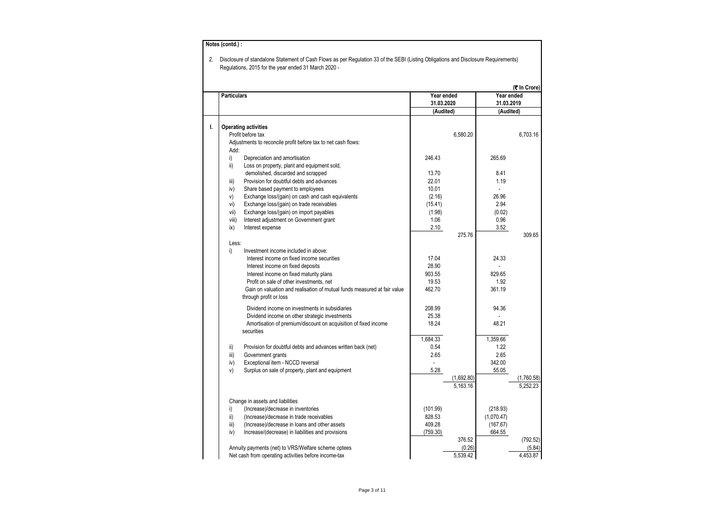|    | <b>Particulars</b>                                                       | Year ended |            | Year ended | (₹ In Crore) |
|----|--------------------------------------------------------------------------|------------|------------|------------|--------------|
|    |                                                                          | 31.03.2020 |            | 31.03.2019 |              |
|    |                                                                          | (Audited)  |            | (Audited)  |              |
| ı. | <b>Operating activities</b>                                              |            |            |            |              |
|    | Profit before tax                                                        |            | 6,580.20   |            | 6,703.16     |
|    | Adjustments to reconcile profit before tax to net cash flows:            |            |            |            |              |
|    | Add:                                                                     |            |            |            |              |
|    | i)<br>Depreciation and amortisation                                      | 246.43     |            | 265.69     |              |
|    | ii)<br>Loss on property, plant and equipment sold,                       |            |            |            |              |
|    | demolished, discarded and scrapped                                       | 13.70      |            | 8.41       |              |
|    | Provision for doubtful debts and advances<br>iii)                        | 22.01      |            | 1.19       |              |
|    | Share based payment to employees<br>iv)                                  | 10.01      |            |            |              |
|    | V)<br>Exchange loss/(gain) on cash and cash equivalents                  | (2.16)     |            | 26.96      |              |
|    | vi)<br>Exchange loss/(gain) on trade receivables                         | (15.41)    |            | 2.94       |              |
|    | Exchange loss/(gain) on import payables<br>vii)                          | (1.98)     |            | (0.02)     |              |
|    | viii)<br>Interest adjustment on Government grant                         | 1.06       |            | 0.96       |              |
|    | ix)<br>Interest expense                                                  | 2.10       |            | 3.52       |              |
|    |                                                                          |            | 275.76     |            | 309.65       |
|    | Less:                                                                    |            |            |            |              |
|    | Investment income included in above:<br>i)                               |            |            |            |              |
|    | Interest income on fixed income securities                               | 17.04      |            | 24.33      |              |
|    | Interest income on fixed deposits                                        | 28.90      |            |            |              |
|    | Interest income on fixed maturity plans                                  | 903.55     |            | 829.65     |              |
|    | Profit on sale of other investments, net                                 | 19.53      |            | 1.92       |              |
|    | Gain on valuation and realisation of mutual funds measured at fair value | 462.70     |            | 361.19     |              |
|    | through profit or loss                                                   |            |            |            |              |
|    | Dividend income on investments in subsidiaries                           | 208.99     |            | 94.36      |              |
|    | Dividend income on other strategic investments                           | 25.38      |            |            |              |
|    | Amortisation of premium/discount on acquisition of fixed income          | 18.24      |            | 48.21      |              |
|    | securities                                                               |            |            |            |              |
|    |                                                                          | 1.684.33   |            | 1.359.66   |              |
|    | ii)<br>Provision for doubtful debts and advances written back (net)      | 0.54       |            | 1.22       |              |
|    | iii)<br>Government grants                                                | 2.65       |            | 2.65       |              |
|    | Exceptional item - NCCD reversal<br>iv)                                  |            |            | 342.00     |              |
|    | v)<br>Surplus on sale of property, plant and equipment                   | 5.28       |            | 55.05      |              |
|    |                                                                          |            | (1,692.80) |            | (1,760.58)   |
|    |                                                                          |            | 5.163.16   |            | 5.252.23     |
|    | Change in assets and liabilities                                         |            |            |            |              |
|    | i)<br>(Increase)/decrease in inventories                                 | (101.99)   |            | (218.93)   |              |
|    | ii)<br>(Increase)/decrease in trade receivables                          | 828.53     |            | (1,070.47) |              |
|    | (Increase)/decrease in loans and other assets<br>iii)                    | 409.28     |            | (167.67)   |              |
|    | iv)<br>Increase/(decrease) in liabilities and provisions                 | (759.30)   |            | 664.55     |              |
|    |                                                                          |            | 376.52     |            | (792.52)     |
|    | Annuity payments (net) to VRS/Welfare scheme optees                      |            | (0.26)     |            | (5.84)       |
|    |                                                                          |            |            |            |              |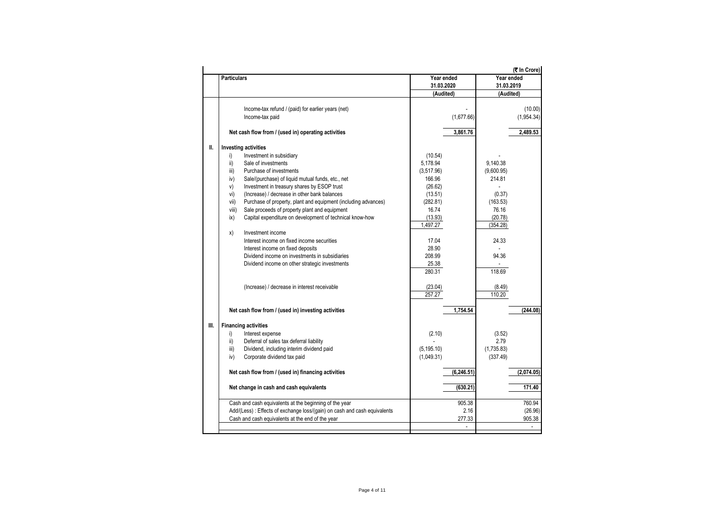|     |                                                                           |             |             |            | (₹ In Crore) |
|-----|---------------------------------------------------------------------------|-------------|-------------|------------|--------------|
|     | <b>Particulars</b>                                                        | Year ended  |             | Year ended |              |
|     |                                                                           | 31.03.2020  |             | 31.03.2019 |              |
|     |                                                                           | (Audited)   |             | (Audited)  |              |
|     |                                                                           |             |             |            |              |
|     | Income-tax refund / (paid) for earlier years (net)                        |             |             |            | (10.00)      |
|     | Income-tax paid                                                           |             | (1,677.66)  |            | (1,954.34)   |
|     | Net cash flow from / (used in) operating activities                       |             | 3,861.76    |            | 2,489.53     |
| II. | <b>Investing activities</b>                                               |             |             |            |              |
|     | i)<br>Investment in subsidiary                                            | (10.54)     |             |            |              |
|     | ii)<br>Sale of investments                                                | 5,178.94    |             | 9,140.38   |              |
|     | Purchase of investments<br>iii)                                           | (3,517.96)  |             | (9,600.95) |              |
|     | iv)<br>Sale/(purchase) of liquid mutual funds, etc., net                  | 166.96      |             | 214.81     |              |
|     | V)<br>Investment in treasury shares by ESOP trust                         | (26.62)     |             |            |              |
|     | (Increase) / decrease in other bank balances<br>vi)                       | (13.51)     |             | (0.37)     |              |
|     | Purchase of property, plant and equipment (including advances)<br>vii)    | (282.81)    |             | (163.53)   |              |
|     | viii)<br>Sale proceeds of property plant and equipment                    | 16.74       |             | 76.16      |              |
|     | Capital expenditure on development of technical know-how<br>ix)           | (13.93)     |             | (20.78)    |              |
|     |                                                                           |             |             |            |              |
|     |                                                                           | 1,497.27    |             | (354.28)   |              |
|     | Investment income<br>x)                                                   |             |             |            |              |
|     | Interest income on fixed income securities                                | 17.04       |             | 24.33      |              |
|     | Interest income on fixed deposits                                         | 28.90       |             |            |              |
|     | Dividend income on investments in subsidiaries                            | 208.99      |             | 94.36      |              |
|     | Dividend income on other strategic investments                            | 25.38       |             |            |              |
|     |                                                                           | 280.31      |             | 118.69     |              |
|     | (Increase) / decrease in interest receivable                              | (23.04)     |             | (8.49)     |              |
|     |                                                                           | 257.27      |             | 110.20     |              |
|     |                                                                           |             |             |            |              |
|     | Net cash flow from / (used in) investing activities                       |             | 1,754.54    |            | (244.08)     |
| Ш.  | <b>Financing activities</b>                                               |             |             |            |              |
|     | i)<br>Interest expense                                                    | (2.10)      |             | (3.52)     |              |
|     | Deferral of sales tax deferral liability<br>ii)                           |             |             | 2.79       |              |
|     | Dividend, including interim dividend paid<br>iii)                         | (5, 195.10) |             | (1,735.83) |              |
|     | iv)                                                                       |             |             | (337.49)   |              |
|     | Corporate dividend tax paid                                               | (1,049.31)  |             |            |              |
|     | Net cash flow from / (used in) financing activities                       |             | (6, 246.51) |            | (2,074.05)   |
|     |                                                                           |             |             |            |              |
|     | Net change in cash and cash equivalents                                   |             | (630.21)    |            | 171.40       |
|     | Cash and cash equivalents at the beginning of the year                    |             | 905.38      |            | 760.94       |
|     | Add/(Less) : Effects of exchange loss/(gain) on cash and cash equivalents |             | 2.16        |            | (26.96)      |
|     | Cash and cash equivalents at the end of the year                          |             | 277.33      |            | 905.38       |
|     |                                                                           |             | ÷.          |            | ÷            |
|     |                                                                           |             |             |            |              |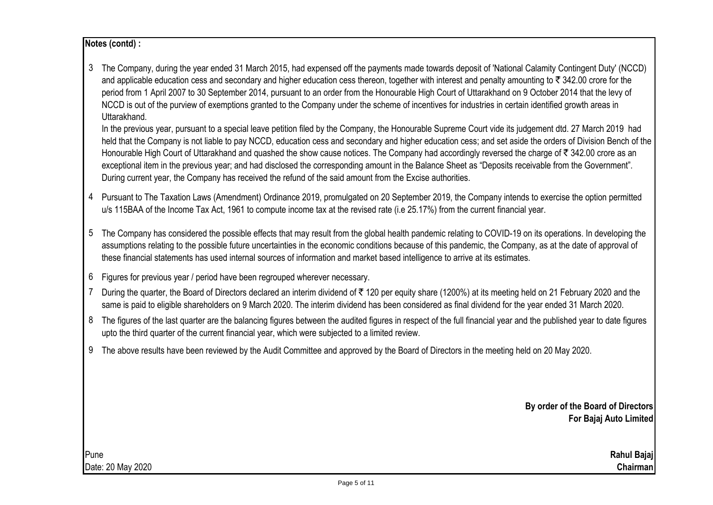# **Notes (contd) :**

3 The Company, during the year ended 31 March 2015, had expensed off the payments made towards deposit of 'National Calamity Contingent Duty' (NCCD) and applicable education cess and secondary and higher education cess thereon, together with interest and penalty amounting to  $\bar{\tau}$  342.00 crore for the period from 1 April 2007 to 30 September 2014, pursuant to an order from the Honourable High Court of Uttarakhand on 9 October 2014 that the levy of NCCD is out of the purview of exemptions granted to the Company under the scheme of incentives for industries in certain identified growth areas in Uttarakhand.

In the previous year, pursuant to a special leave petition filed by the Company, the Honourable Supreme Court vide its judgement dtd. 27 March 2019 had held that the Company is not liable to pay NCCD, education cess and secondary and higher education cess; and set aside the orders of Division Bench of the Honourable High Court of Uttarakhand and quashed the show cause notices. The Company had accordingly reversed the charge of  $\bar{\tau}$  342.00 crore as an exceptional item in the previous year; and had disclosed the corresponding amount in the Balance Sheet as "Deposits receivable from the Government". During current year, the Company has received the refund of the said amount from the Excise authorities.

- 4 Pursuant to The Taxation Laws (Amendment) Ordinance 2019, promulgated on 20 September 2019, the Company intends to exercise the option permitted u/s 115BAA of the Income Tax Act, 1961 to compute income tax at the revised rate (i.e 25.17%) from the current financial year.
- 5 The Company has considered the possible effects that may result from the global health pandemic relating to COVID-19 on its operations. In developing the assumptions relating to the possible future uncertainties in the economic conditions because of this pandemic, the Company, as at the date of approval of these financial statements has used internal sources of information and market based intelligence to arrive at its estimates.
- 6 Figures for previous year / period have been regrouped wherever necessary.
- 7 During the quarter, the Board of Directors declared an interim dividend of ₹120 per equity share (1200%) at its meeting held on 21 February 2020 and the same is paid to eligible shareholders on 9 March 2020. The interim dividend has been considered as final dividend for the year ended 31 March 2020.
- 8 The figures of the last quarter are the balancing figures between the audited figures in respect of the full financial year and the published year to date figures upto the third quarter of the current financial year, which were subjected to a limited review.
- 9 The above results have been reviewed by the Audit Committee and approved by the Board of Directors in the meeting held on 20 May 2020.

**By order of the Board of Directors For Bajaj Auto Limited**

Date: 20 May 2020 **Chairman**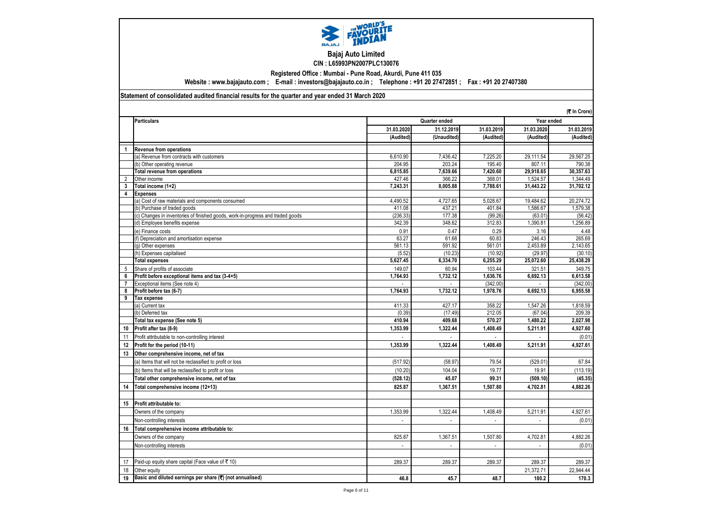

## **Bajaj Auto Limited CIN : L65993PN2007PLC130076**

**Registered Office : Mumbai - Pune Road, Akurdi, Pune 411 035**

**Website : www.bajajauto.com ; E-mail : investors@bajajauto.co.in ; Telephone : +91 20 27472851 ; Fax : +91 20 27407380**

## **Statement of consolidated audited financial results for the quarter and year ended 31 March 2020**

|                |                                                                                 |                             |                   |                             |                     | (そ In Crore)       |
|----------------|---------------------------------------------------------------------------------|-----------------------------|-------------------|-----------------------------|---------------------|--------------------|
|                | <b>Particulars</b>                                                              | Year ended<br>Quarter ended |                   |                             |                     |                    |
|                |                                                                                 | 31.03.2020                  | 31.12.2019        | 31.03.2019                  | 31.03.2020          | 31.03.2019         |
|                |                                                                                 | (Audited)                   | (Unaudited)       | (Audited)                   | (Audited)           | (Audited)          |
| $\overline{1}$ | Revenue from operations                                                         |                             |                   |                             |                     |                    |
|                | (a) Revenue from contracts with customers                                       | 6.610.90                    | 7.436.42          | 7,225.20                    | 29.111.54           | 29,567.25          |
|                | (b) Other operating revenue                                                     | 204.95                      | 203.24            | 195.40                      | 807.11              | 790.38             |
|                | <b>Total revenue from operations</b>                                            | 6.815.85                    | 7.639.66          | 7,420.60                    | 29.918.65           | 30.357.63          |
| 2              | Other income                                                                    | 427.46                      | 366.22            | 368.01                      | 1,524.57            | 1,344.49           |
| 3              | Total income (1+2)                                                              | 7,243.31                    | 8,005.88          | 7,788.61                    | 31,443.22           | 31,702.12          |
| 4              | <b>Expenses</b>                                                                 |                             |                   |                             |                     |                    |
|                | (a) Cost of raw materials and components consumed                               | 4,490.52                    | 4,727.65          | 5,028.67                    | 19,484.62           | 20,274.72          |
|                | (b) Purchase of traded goods                                                    | 411.08                      | 437.21            | 401.84                      | 1,586.67            | 1,579.38           |
|                | (c) Changes in inventories of finished goods, work-in-progress and traded goods | (236.33)                    | 177.38            | (99.26)                     | (63.01)             | (56.42)            |
|                | (d) Employee benefits expense                                                   | 342.39                      | 348.62            | 312.83                      | 1,390.81            | 1,256.89           |
|                | (e) Finance costs                                                               | 0.91                        | 0.47              | 0.29                        | 3.16                | 4.48               |
|                | (f) Depreciation and amortisation expense                                       | 63.27                       | 61.68             | 60.83                       | 246.43              | 265.69             |
|                | (g) Other expenses                                                              | 561.13                      | 591.92            | 561.01                      | 2,453.89            | 2,143.65           |
|                | (h) Expenses capitalised                                                        | (5.52)                      | (10.23)           | (10.92)                     | (29.97)             | (30.10)            |
|                | <b>Total expenses</b>                                                           | 5,627.45                    | 6,334.70          | 6,255.29                    | 25,072.60           | 25,438.29          |
| 5              | Share of profits of associate                                                   | 149.07                      | 60.94             | 103.44                      | 321.51              | 349.75             |
| 6              | Profit before exceptional items and tax (3-4+5)                                 | 1,764.93                    | 1,732.12          | 1.636.76                    | 6,692.13            | 6.613.58           |
| $\overline{7}$ | Exceptional items (See note 4)                                                  |                             |                   | (342.00)                    |                     | (342.00)           |
| 8              | Profit before tax (6-7)                                                         | 1,764.93                    | 1.732.12          | 1,978.76                    | 6,692.13            | 6.955.58           |
| 9              | Tax expense                                                                     |                             |                   |                             |                     |                    |
|                | (a) Current tax                                                                 | 411.33                      | 427.17            | 358.22                      | 1.547.26            | 1.818.59           |
|                | (b) Deferred tax<br>Total tax expense (See note 5)                              | (0.39)<br>410.94            | (17.49)<br>409.68 | 212.05<br>570.27            | (67.04)<br>1,480.22 | 209.39<br>2,027.98 |
|                |                                                                                 |                             |                   |                             |                     |                    |
| 10             | Profit after tax (8-9)                                                          | 1,353.99                    | 1,322.44          | 1,408.49                    | 5,211.91            | 4,927.60           |
| 11             | Profit attributable to non-controlling interest                                 |                             |                   |                             |                     | (0.01)             |
| 12             | Profit for the period (10-11)                                                   | 1,353.99                    | 1,322.44          | 1,408.49                    | 5,211.91            | 4,927.61           |
| 13             | Other comprehensive income, net of tax                                          |                             |                   |                             |                     |                    |
|                | (a) Items that will not be reclassified to profit or loss                       | (517.92)                    | (58.97)           | 79.54                       | (529.01)            | 67.84              |
|                | (b) Items that will be reclassified to profit or loss                           | (10.20)                     | 104.04            | 19.77                       | 19.91               | (113.19)           |
|                | Total other comprehensive income, net of tax                                    | (528.12)                    | 45.07             | 99.31                       | (509.10)            | (45.35)            |
| 14             | Total comprehensive income (12+13)                                              | 825.87                      | 1,367.51          | 1.507.80                    | 4,702.81            | 4,882.26           |
|                |                                                                                 |                             |                   |                             |                     |                    |
| 15             | Profit attributable to:                                                         |                             |                   |                             |                     |                    |
|                | Owners of the company                                                           | 1,353.99                    | 1,322.44          | 1,408.49                    | 5,211.91            | 4,927.61           |
|                | Non-controlling interests                                                       | $\overline{a}$              | $\overline{a}$    | $\mathcal{L}^{\mathcal{A}}$ | $\sim$              | (0.01)             |
| 16             | Total comprehensive income attributable to:                                     |                             |                   |                             |                     |                    |
|                | Owners of the company                                                           | 825.87                      | 1,367.51          | 1,507.80                    | 4,702.81            | 4,882.26           |
|                |                                                                                 | $\mathcal{L}$               | $\mathcal{L}$     | $\mathcal{L}^{\mathcal{A}}$ | $\mathcal{L}$       |                    |
|                | Non-controlling interests                                                       |                             |                   |                             |                     | (0.01)             |
|                |                                                                                 |                             |                   |                             |                     |                    |
| 17             | Paid-up equity share capital (Face value of ₹10)                                | 289.37                      | 289.37            | 289.37                      | 289.37              | 289.37             |
| 18             | Other equity                                                                    |                             |                   |                             | 21,372.71           | 22,944.44          |
| 19             | Basic and diluted earnings per share $(\overline{\tau})$ (not annualised)       | 46.8                        | 45.7              | 48.7                        | 180.2               | 170.3              |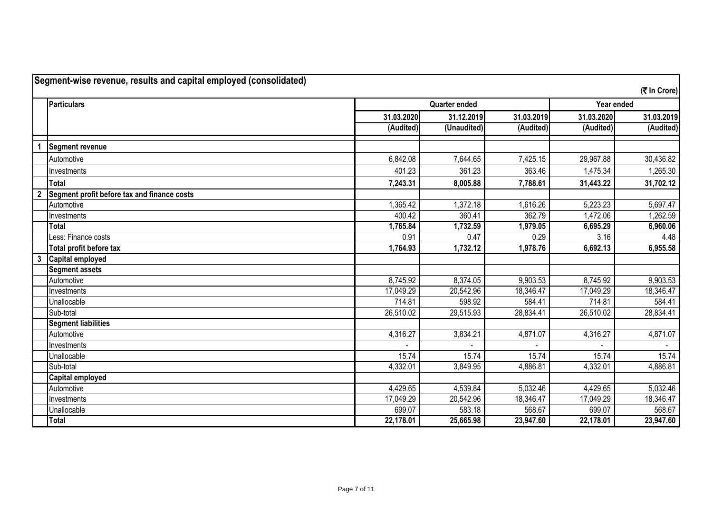|                | <b>Particulars</b>                          |            | <b>Quarter ended</b> |            | Year ended |            |
|----------------|---------------------------------------------|------------|----------------------|------------|------------|------------|
|                |                                             | 31.03.2020 | 31.12.2019           | 31.03.2019 | 31.03.2020 | 31.03.2019 |
|                |                                             | (Audited)  | (Unaudited)          | (Audited)  | (Audited)  | (Audited)  |
|                | Segment revenue                             |            |                      |            |            |            |
|                | Automotive                                  | 6,842.08   | 7,644.65             | 7,425.15   | 29,967.88  | 30,436.82  |
|                | Investments                                 | 401.23     | 361.23               | 363.46     | 1,475.34   | 1,265.30   |
|                | <b>Total</b>                                | 7,243.31   | 8,005.88             | 7,788.61   | 31,443.22  | 31,702.12  |
| $\overline{2}$ | Segment profit before tax and finance costs |            |                      |            |            |            |
|                | Automotive                                  | 1,365.42   | 1,372.18             | 1,616.26   | 5,223.23   | 5,697.47   |
|                | Investments                                 | 400.42     | 360.41               | 362.79     | 1,472.06   | 1,262.59   |
|                | <b>Total</b>                                | 1,765.84   | 1,732.59             | 1,979.05   | 6,695.29   | 6,960.06   |
|                | Less: Finance costs                         | 0.91       | 0.47                 | 0.29       | 3.16       | 4.48       |
|                | Total profit before tax                     | 1,764.93   | 1,732.12             | 1,978.76   | 6,692.13   | 6,955.58   |
| $\mathbf{3}$   | Capital employed                            |            |                      |            |            |            |
|                | <b>Segment assets</b>                       |            |                      |            |            |            |
|                | Automotive                                  | 8,745.92   | 8,374.05             | 9,903.53   | 8,745.92   | 9,903.53   |
|                | Investments                                 | 17,049.29  | 20,542.96            | 18,346.47  | 17,049.29  | 18,346.47  |
|                | Unallocable                                 | 714.81     | 598.92               | 584.41     | 714.81     | 584.41     |
|                | Sub-total                                   | 26,510.02  | 29,515.93            | 28,834.41  | 26,510.02  | 28,834.41  |
|                | <b>Segment liabilities</b>                  |            |                      |            |            |            |
|                | Automotive                                  | 4,316.27   | 3,834.21             | 4,871.07   | 4,316.27   | 4,871.07   |
|                | Investments                                 |            |                      |            |            |            |
|                | Unallocable                                 | 15.74      | 15.74                | 15.74      | 15.74      | 15.74      |
|                | Sub-total                                   | 4,332.01   | 3,849.95             | 4,886.81   | 4,332.01   | 4,886.81   |
|                | <b>Capital employed</b>                     |            |                      |            |            |            |
|                | Automotive                                  | 4,429.65   | 4,539.84             | 5,032.46   | 4,429.65   | 5,032.46   |
|                | Investments                                 | 17,049.29  | 20,542.96            | 18,346.47  | 17,049.29  | 18,346.47  |
|                | Unallocable                                 | 699.07     | 583.18               | 568.67     | 699.07     | 568.67     |
|                | <b>Total</b>                                | 22,178.01  | 25,665.98            | 23,947.60  | 22,178.01  | 23,947.60  |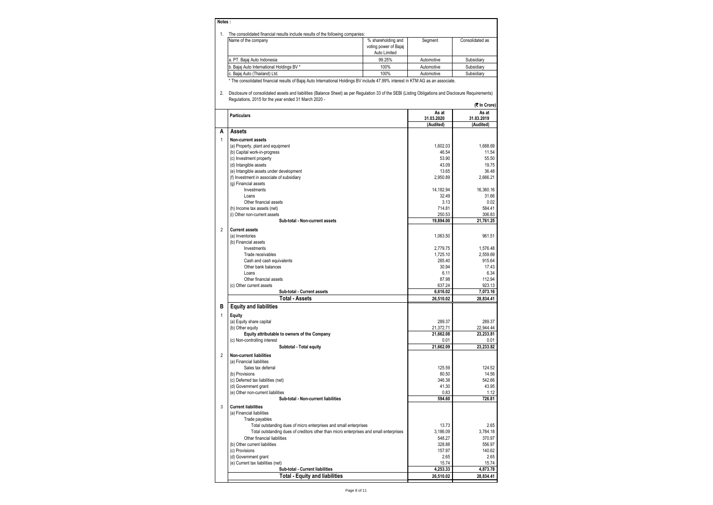#### **Notes :**

|  | The consolidated financial results include results of the following companies: |  |  |  |  |
|--|--------------------------------------------------------------------------------|--|--|--|--|
|--|--------------------------------------------------------------------------------|--|--|--|--|

| THE CONSONDATED INTRINGIAL FESULS INCLUDE TESULS OF the TONOWING CONDAHIES. |                       |            |                 |  |  |  |  |
|-----------------------------------------------------------------------------|-----------------------|------------|-----------------|--|--|--|--|
| Name of the company                                                         | % shareholding and    | Segment    | Consolidated as |  |  |  |  |
|                                                                             | voting power of Bajaj |            |                 |  |  |  |  |
|                                                                             | Auto Limited          |            |                 |  |  |  |  |
| a. PT. Baiai Auto Indonesia                                                 | 99.25%                | Automotive | Subsidiarv      |  |  |  |  |
| b. Bajaj Auto International Holdings BV *                                   | 100%                  | Automotive | Subsidiarv      |  |  |  |  |
| c. Baiai Auto (Thailand) Ltd.                                               | 100%                  | Automotive | Subsidiary      |  |  |  |  |
|                                                                             |                       |            |                 |  |  |  |  |

\* The consolidated financial results of Bajaj Auto International Holdings BV include 47.99% interest in KTM AG as an associate.

2. Disclosure of consolidated assets and liabilities (Balance Sheet) as per Regulation 33 of the SEBI (Listing Obligations and Disclosure Requirements) Regulations, 2015 for the year ended 31 March 2020 - **(**` **In Crore)**

|                |                                                                                        |                                  | טוטוט וווי                       |
|----------------|----------------------------------------------------------------------------------------|----------------------------------|----------------------------------|
|                | <b>Particulars</b>                                                                     | As at<br>31.03.2020<br>(Audited) | As at<br>31.03.2019<br>(Audited) |
| A              | Assets                                                                                 |                                  |                                  |
| $\mathbf{1}$   | Non-current assets                                                                     |                                  |                                  |
|                | (a) Property, plant and equipment                                                      | 1.602.03                         | 1,688.69                         |
|                | (b) Capital work-in-progress                                                           | 46.54                            | 11.54                            |
|                | (c) Investment property                                                                | 53.90                            | 55.50                            |
|                | (d) Intangible assets                                                                  | 43.09                            | 19.75                            |
|                | (e) Intangible assets under development                                                | 13.65                            | 36.48                            |
|                | (f) Investment in associate of subsidiary                                              | 2,950.89                         | 2,666.21                         |
|                | (g) Financial assets                                                                   |                                  |                                  |
|                | Investments                                                                            | 14,182.94                        | 16,360.16                        |
|                | Loans                                                                                  | 32.49                            | 31.66                            |
|                | Other financial assets                                                                 | 3.13                             | 0.02                             |
|                | (h) Income tax assets (net)                                                            | 714.81                           | 584.41                           |
|                | (i) Other non-current assets<br>Sub-total - Non-current assets                         | 250.53<br>19,894.00              | 306.83<br>21,761.25              |
|                |                                                                                        |                                  |                                  |
| $\overline{2}$ | <b>Current assets</b>                                                                  |                                  |                                  |
|                | (a) Inventories                                                                        | 1.063.50                         | 961.51                           |
|                | (b) Financial assets<br>Investments                                                    | 2,779.75                         | 1,576.48                         |
|                | Trade receivables                                                                      | 1.725.10                         | 2.559.69                         |
|                | Cash and cash equivalents                                                              | 285.40                           | 915.64                           |
|                | Other bank balances                                                                    | 30.94                            | 17.43                            |
|                | Loans                                                                                  | 6.11                             | 6.34                             |
|                | Other financial assets                                                                 | 87.98                            | 112.94                           |
|                | (c) Other current assets                                                               | 637.24                           | 923.13                           |
|                | Sub-total - Current assets                                                             | 6,616.02                         | 7,073.16                         |
|                | <b>Total - Assets</b>                                                                  | 26,510.02                        | 28,834.41                        |
| в              | <b>Equity and liabilities</b>                                                          |                                  |                                  |
| $\mathbf{1}$   | Equity                                                                                 |                                  |                                  |
|                | (a) Equity share capital                                                               | 289.37                           | 289.37                           |
|                | (b) Other equity                                                                       | 21,372.71                        | 22,944.44                        |
|                | Equity attributable to owners of the Company                                           | 21,662.08                        | 23.233.81                        |
|                | (c) Non-controlling interest                                                           | 0.01                             | 0.01                             |
|                | Subtotal - Total equity                                                                | 21,662.09                        | 23,233.82                        |
| $\overline{2}$ | <b>Non-current liabilities</b>                                                         |                                  |                                  |
|                | (a) Financial liabilities                                                              |                                  |                                  |
|                | Sales tax deferral                                                                     | 125.59                           | 124.52                           |
|                | (b) Provisions                                                                         | 80.50                            | 14.56                            |
|                | (c) Deferred tax liabilities (net)                                                     | 346.38                           | 542.66                           |
|                | (d) Government grant                                                                   | 41.30                            | 43.95                            |
|                | (e) Other non-current liabilities                                                      | 0.83                             | 1.12                             |
|                | Sub-total - Non-current liabilities                                                    | 594.60                           | 726.81                           |
| 3              | <b>Current liabilities</b>                                                             |                                  |                                  |
|                | (a) Financial liabilities                                                              |                                  |                                  |
|                | Trade payables                                                                         |                                  |                                  |
|                | Total outstanding dues of micro enterprises and small enterprises                      | 13.73                            | 2.65                             |
|                | Total outstanding dues of creditors other than micro enterprises and small enterprises | 3,186.09                         | 3,784.18                         |
|                | Other financial liabilities                                                            | 548.27                           | 370.97                           |
|                | (b) Other current liabilities                                                          | 328.88                           | 556.97                           |
|                | (c) Provisions                                                                         | 157.97                           | 140.62                           |
|                | (d) Government grant                                                                   | 2.65                             | 2.65                             |
|                | (e) Current tax liabilities (net)                                                      | 15.74                            | 15.74                            |
|                | Sub-total - Current liabilities                                                        | 4,253.33                         | 4,873.78                         |
|                | <b>Total - Equity and liabilities</b>                                                  | 26,510.02                        | 28,834.41                        |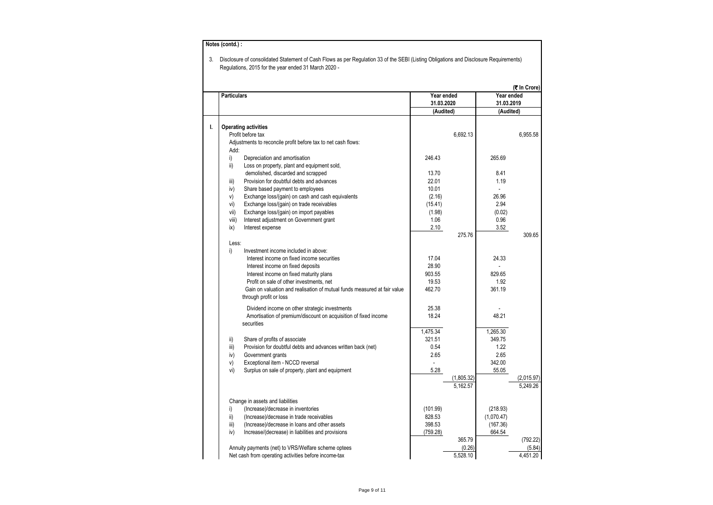|                    |                                                                                                |                          |                        |                          | (₹ In Crore)           |
|--------------------|------------------------------------------------------------------------------------------------|--------------------------|------------------------|--------------------------|------------------------|
| <b>Particulars</b> |                                                                                                | Year ended<br>31.03.2020 |                        | Year ended<br>31.03.2019 |                        |
|                    |                                                                                                | (Audited)                |                        | (Audited)                |                        |
|                    |                                                                                                |                          |                        |                          |                        |
| ı.                 | <b>Operating activities</b>                                                                    |                          |                        |                          |                        |
|                    | Profit before tax                                                                              |                          | 6,692.13               |                          | 6,955.58               |
|                    | Adjustments to reconcile profit before tax to net cash flows:                                  |                          |                        |                          |                        |
| Add:               |                                                                                                |                          |                        |                          |                        |
| i)                 | Depreciation and amortisation                                                                  | 246.43                   |                        | 265.69                   |                        |
| ii)                | Loss on property, plant and equipment sold,                                                    |                          |                        |                          |                        |
|                    | demolished, discarded and scrapped                                                             | 13.70                    |                        | 8.41                     |                        |
| iii)               | Provision for doubtful debts and advances                                                      | 22.01<br>10.01           |                        | 1.19                     |                        |
| iv)                | Share based payment to employees                                                               |                          |                        | 26.96                    |                        |
| v)<br>vi)          | Exchange loss/(gain) on cash and cash equivalents<br>Exchange loss/(gain) on trade receivables | (2.16)<br>(15.41)        |                        | 2.94                     |                        |
| vii)               | Exchange loss/(gain) on import payables                                                        | (1.98)                   |                        | (0.02)                   |                        |
| viii)              | Interest adjustment on Government grant                                                        | 1.06                     |                        | 0.96                     |                        |
| ix)                | Interest expense                                                                               | 2.10                     |                        | 3.52                     |                        |
|                    |                                                                                                |                          | 275.76                 |                          | 309.65                 |
| Less:              |                                                                                                |                          |                        |                          |                        |
| i)                 | Investment income included in above:                                                           |                          |                        |                          |                        |
|                    | Interest income on fixed income securities                                                     | 17.04                    |                        | 24.33                    |                        |
|                    | Interest income on fixed deposits                                                              | 28.90                    |                        |                          |                        |
|                    | Interest income on fixed maturity plans                                                        | 903.55                   |                        | 829.65                   |                        |
|                    | Profit on sale of other investments, net                                                       | 19.53                    |                        | 1.92                     |                        |
|                    | Gain on valuation and realisation of mutual funds measured at fair value                       | 462.70                   |                        | 361.19                   |                        |
|                    | through profit or loss                                                                         |                          |                        |                          |                        |
|                    | Dividend income on other strategic investments                                                 | 25.38                    |                        |                          |                        |
|                    | Amortisation of premium/discount on acquisition of fixed income                                | 18.24                    |                        | 48.21                    |                        |
|                    | securities                                                                                     |                          |                        |                          |                        |
|                    |                                                                                                | 1,475.34                 |                        | 1,265.30                 |                        |
| ii)                | Share of profits of associate                                                                  | 321.51                   |                        | 349.75                   |                        |
| iii)               | Provision for doubtful debts and advances written back (net)                                   | 0.54                     |                        | 1.22                     |                        |
| iv)                | Government grants                                                                              | 2.65                     |                        | 2.65                     |                        |
| V)                 | Exceptional item - NCCD reversal                                                               |                          |                        | 342.00                   |                        |
| vi)                | Surplus on sale of property, plant and equipment                                               | 5.28                     |                        | 55.05                    |                        |
|                    |                                                                                                |                          | (1,805.32)<br>5.162.57 |                          | (2,015.97)<br>5.249.26 |
|                    | Change in assets and liabilities                                                               |                          |                        |                          |                        |
| i)                 | (Increase)/decrease in inventories                                                             | (101.99)                 |                        | (218.93)                 |                        |
| ii)                | (Increase)/decrease in trade receivables                                                       | 828.53                   |                        | (1,070.47)               |                        |
| iii)               | (Increase)/decrease in loans and other assets                                                  | 398.53                   |                        | (167.36)                 |                        |
| iv)                | Increase/(decrease) in liabilities and provisions                                              | (759.28)                 |                        | 664.54                   |                        |
|                    |                                                                                                |                          | 365.79                 |                          | (792.22)               |
|                    | Annuity payments (net) to VRS/Welfare scheme optees                                            |                          | (0.26)                 |                          | (5.84)                 |
|                    | Net cash from operating activities before income-tax                                           |                          | 5,528.10               |                          | 4,451.20               |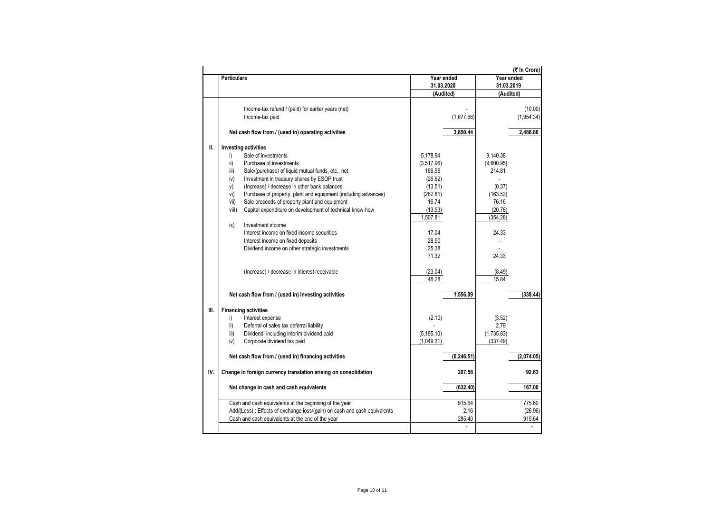| Year ended<br><b>Particulars</b><br>31.03.2020<br>(Audited)<br>Income-tax refund / (paid) for earlier years (net)<br>Income-tax paid<br>(1,677.66)<br>Net cash flow from / (used in) operating activities<br>3,850.44<br><b>Investing activities</b><br>Ш.<br>Sale of investments<br>5.178.94<br>9.140.38<br>i)<br>Purchase of investments<br>ii)<br>(3,517.96)<br>(9,600.95) | Year ended<br>31.03.2019<br>(Audited)<br>(10.00)<br>(1,954.34)<br>2,486.86 |
|-------------------------------------------------------------------------------------------------------------------------------------------------------------------------------------------------------------------------------------------------------------------------------------------------------------------------------------------------------------------------------|----------------------------------------------------------------------------|
|                                                                                                                                                                                                                                                                                                                                                                               |                                                                            |
|                                                                                                                                                                                                                                                                                                                                                                               |                                                                            |
|                                                                                                                                                                                                                                                                                                                                                                               |                                                                            |
|                                                                                                                                                                                                                                                                                                                                                                               |                                                                            |
|                                                                                                                                                                                                                                                                                                                                                                               |                                                                            |
|                                                                                                                                                                                                                                                                                                                                                                               |                                                                            |
|                                                                                                                                                                                                                                                                                                                                                                               |                                                                            |
|                                                                                                                                                                                                                                                                                                                                                                               |                                                                            |
|                                                                                                                                                                                                                                                                                                                                                                               |                                                                            |
|                                                                                                                                                                                                                                                                                                                                                                               |                                                                            |
|                                                                                                                                                                                                                                                                                                                                                                               |                                                                            |
|                                                                                                                                                                                                                                                                                                                                                                               |                                                                            |
| 166.96<br>214.81<br>iii)<br>Sale/(purchase) of liquid mutual funds, etc., net                                                                                                                                                                                                                                                                                                 |                                                                            |
| (26.62)<br>iv)<br>Investment in treasury shares by ESOP trust                                                                                                                                                                                                                                                                                                                 |                                                                            |
| v)<br>(Increase) / decrease in other bank balances<br>(13.51)<br>(0.37)                                                                                                                                                                                                                                                                                                       |                                                                            |
| vi)<br>Purchase of property, plant and equipment (including advances)<br>(282.81)<br>(163.53)                                                                                                                                                                                                                                                                                 |                                                                            |
| 16.74<br>76.16<br>vii)<br>Sale proceeds of property plant and equipment                                                                                                                                                                                                                                                                                                       |                                                                            |
| Capital expenditure on development of technical know-how<br>(13.93)<br>(20.78)<br>viil)                                                                                                                                                                                                                                                                                       |                                                                            |
| 1,507.81<br>(354.28)                                                                                                                                                                                                                                                                                                                                                          |                                                                            |
| Investment income<br>ix)                                                                                                                                                                                                                                                                                                                                                      |                                                                            |
| Interest income on fixed income securities<br>17.04<br>24.33                                                                                                                                                                                                                                                                                                                  |                                                                            |
| 28.90<br>Interest income on fixed deposits                                                                                                                                                                                                                                                                                                                                    |                                                                            |
| 25.38<br>Dividend income on other strategic investments                                                                                                                                                                                                                                                                                                                       |                                                                            |
| 71.32<br>24.33                                                                                                                                                                                                                                                                                                                                                                |                                                                            |
|                                                                                                                                                                                                                                                                                                                                                                               |                                                                            |
| (23.04)<br>(Increase) / decrease in interest receivable<br>(8.49)                                                                                                                                                                                                                                                                                                             |                                                                            |
| 48.28<br>15.84                                                                                                                                                                                                                                                                                                                                                                |                                                                            |
|                                                                                                                                                                                                                                                                                                                                                                               |                                                                            |
| Net cash flow from / (used in) investing activities<br>1.556.09                                                                                                                                                                                                                                                                                                               | (338.44)                                                                   |
|                                                                                                                                                                                                                                                                                                                                                                               |                                                                            |
| III.<br><b>Financing activities</b>                                                                                                                                                                                                                                                                                                                                           |                                                                            |
| Interest expense<br>(2.10)<br>(3.52)                                                                                                                                                                                                                                                                                                                                          |                                                                            |
| i)<br>2.79                                                                                                                                                                                                                                                                                                                                                                    |                                                                            |
| ii)<br>Deferral of sales tax deferral liability                                                                                                                                                                                                                                                                                                                               |                                                                            |
| Dividend, including interim dividend paid<br>(5, 195.10)<br>(1,735.83)<br>iii)                                                                                                                                                                                                                                                                                                |                                                                            |
| Corporate dividend tax paid<br>(1,049.31)<br>iv)<br>(337.49)                                                                                                                                                                                                                                                                                                                  |                                                                            |
|                                                                                                                                                                                                                                                                                                                                                                               |                                                                            |
| Net cash flow from / (used in) financing activities<br>(6, 246.51)                                                                                                                                                                                                                                                                                                            | (2,074.05)                                                                 |
|                                                                                                                                                                                                                                                                                                                                                                               |                                                                            |
| IV.<br>Change in foreign currency translation arising on consolidation<br>207.58                                                                                                                                                                                                                                                                                              | 92.63                                                                      |
|                                                                                                                                                                                                                                                                                                                                                                               |                                                                            |
| (632.40)<br>Net change in cash and cash equivalents                                                                                                                                                                                                                                                                                                                           | 167.00                                                                     |
|                                                                                                                                                                                                                                                                                                                                                                               |                                                                            |
| Cash and cash equivalents at the beginning of the year<br>915.64                                                                                                                                                                                                                                                                                                              | 775.60                                                                     |
| Add/(Less) : Effects of exchange loss/(gain) on cash and cash equivalents<br>2.16                                                                                                                                                                                                                                                                                             | (26.96)                                                                    |
| Cash and cash equivalents at the end of the year<br>285.40                                                                                                                                                                                                                                                                                                                    | 915.64                                                                     |
| ÷.                                                                                                                                                                                                                                                                                                                                                                            | $\sim$                                                                     |